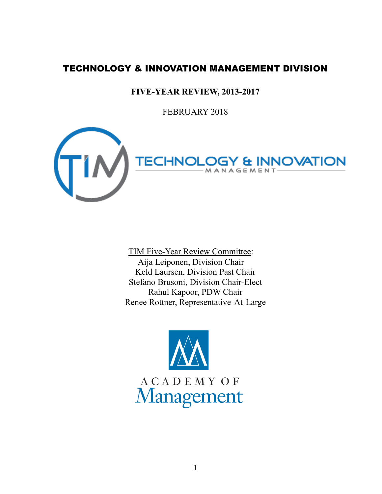# TECHNOLOGY & INNOVATION MANAGEMENT DIVISION

# **FIVE-YEAR REVIEW, 2013-2017**

FEBRUARY 2018



TIM Five-Year Review Committee: Aija Leiponen, Division Chair Keld Laursen, Division Past Chair Stefano Brusoni, Division Chair-Elect Rahul Kapoor, PDW Chair Renee Rottner, Representative-At-Large

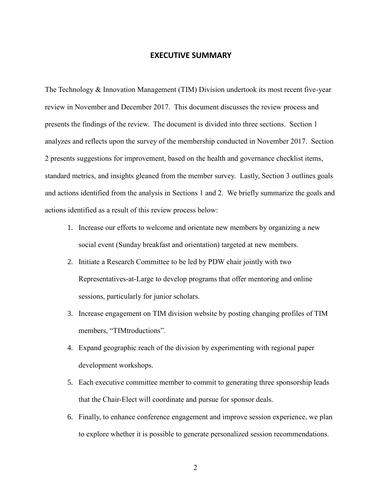# **EXECUTIVE SUMMARY**

The Technology & Innovation Management (TIM) Division undertook its most recent five-year review in November and December 2017. This document discusses the review process and presents the findings of the review. The document is divided into three sections. Section 1 analyzes and reflects upon the survey of the membership conducted in November 2017. Section 2 presents suggestions for improvement, based on the health and governance checklist items, standard metrics, and insights gleaned from the member survey. Lastly, Section 3 outlines goals and actions identified from the analysis in Sections 1 and 2. We briefly summarize the goals and actions identified as a result of this review process below:

- 1. Increase our efforts to welcome and orientate new members by organizing a new social event (Sunday breakfast and orientation) targeted at new members.
- 2. Initiate a Research Committee to be led by PDW chair jointly with two Representatives-at-Large to develop programs that offer mentoring and online sessions, particularly for junior scholars.
- 3. Increase engagement on TIM division website by posting changing profiles of TIM members, "TIMtroductions".
- 4. Expand geographic reach of the division by experimenting with regional paper development workshops.
- 5. Each executive committee member to commit to generating three sponsorship leads that the Chair-Elect will coordinate and pursue for sponsor deals.
- 6. Finally, to enhance conference engagement and improve session experience, we plan to explore whether it is possible to generate personalized session recommendations.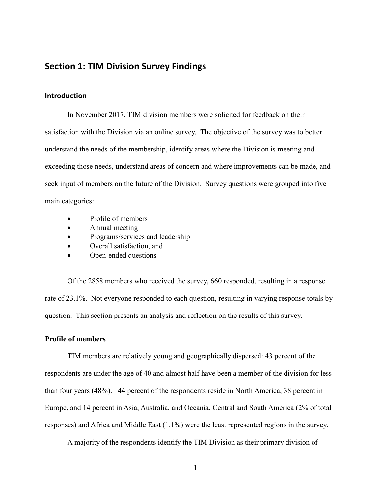# **Section 1: TIM Division Survey Findings**

### **Introduction**

In November 2017, TIM division members were solicited for feedback on their satisfaction with the Division via an online survey. The objective of the survey was to better understand the needs of the membership, identify areas where the Division is meeting and exceeding those needs, understand areas of concern and where improvements can be made, and seek input of members on the future of the Division. Survey questions were grouped into five main categories:

- Profile of members
- Annual meeting
- Programs/services and leadership
- Overall satisfaction, and
- Open-ended questions

Of the 2858 members who received the survey, 660 responded, resulting in a response rate of 23.1%. Not everyone responded to each question, resulting in varying response totals by question. This section presents an analysis and reflection on the results of this survey.

### **Profile of members**

TIM members are relatively young and geographically dispersed: 43 percent of the respondents are under the age of 40 and almost half have been a member of the division for less than four years (48%). 44 percent of the respondents reside in North America, 38 percent in Europe, and 14 percent in Asia, Australia, and Oceania. Central and South America (2% of total responses) and Africa and Middle East (1.1%) were the least represented regions in the survey.

A majority of the respondents identify the TIM Division as their primary division of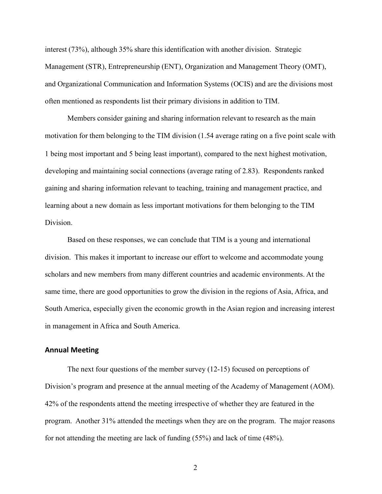interest (73%), although 35% share this identification with another division. Strategic Management (STR), Entrepreneurship (ENT), Organization and Management Theory (OMT), and Organizational Communication and Information Systems (OCIS) and are the divisions most often mentioned as respondents list their primary divisions in addition to TIM.

Members consider gaining and sharing information relevant to research as the main motivation for them belonging to the TIM division (1.54 average rating on a five point scale with 1 being most important and 5 being least important), compared to the next highest motivation, developing and maintaining social connections (average rating of 2.83). Respondents ranked gaining and sharing information relevant to teaching, training and management practice, and learning about a new domain as less important motivations for them belonging to the TIM Division.

Based on these responses, we can conclude that TIM is a young and international division. This makes it important to increase our effort to welcome and accommodate young scholars and new members from many different countries and academic environments. At the same time, there are good opportunities to grow the division in the regions of Asia, Africa, and South America, especially given the economic growth in the Asian region and increasing interest in management in Africa and South America.

### **Annual Meeting**

The next four questions of the member survey (12-15) focused on perceptions of Division's program and presence at the annual meeting of the Academy of Management (AOM). 42% of the respondents attend the meeting irrespective of whether they are featured in the program. Another 31% attended the meetings when they are on the program. The major reasons for not attending the meeting are lack of funding (55%) and lack of time (48%).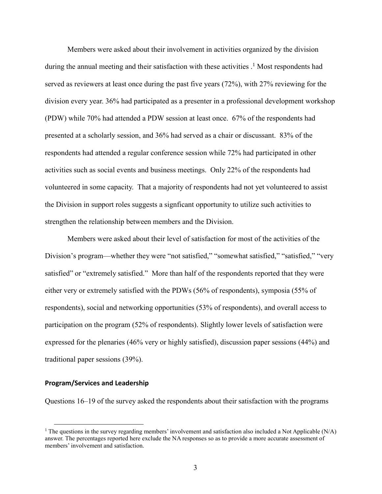Members were asked about their involvement in activities organized by the division during the annual meeting and their satisfaction with these activities  $\cdot$ <sup>1</sup>. Most respondents had served as reviewers at least once during the past five years (72%), with 27% reviewing for the division every year. 36% had participated as a presenter in a professional development workshop (PDW) while 70% had attended a PDW session at least once. 67% of the respondents had presented at a scholarly session, and 36% had served as a chair or discussant. 83% of the respondents had attended a regular conference session while 72% had participated in other activities such as social events and business meetings. Only 22% of the respondents had volunteered in some capacity. That a majority of respondents had not yet volunteered to assist the Division in support roles suggests a signficant opportunity to utilize such activities to strengthen the relationship between members and the Division.

Members were asked about their level of satisfaction for most of the activities of the Division's program—whether they were "not satisfied," "somewhat satisfied," "satisfied," "very satisfied" or "extremely satisfied." More than half of the respondents reported that they were either very or extremely satisfied with the PDWs (56% of respondents), symposia (55% of respondents), social and networking opportunities (53% of respondents), and overall access to participation on the program (52% of respondents). Slightly lower levels of satisfaction were expressed for the plenaries (46% very or highly satisfied), discussion paper sessions (44%) and traditional paper sessions (39%).

### **Program/Services and Leadership**

 $\overline{a}$ 

Questions 16–19 of the survey asked the respondents about their satisfaction with the programs

<sup>&</sup>lt;sup>1</sup> The questions in the survey regarding members' involvement and satisfaction also included a Not Applicable  $(N/A)$ answer. The percentages reported here exclude the NA responses so as to provide a more accurate assessment of members' involvement and satisfaction.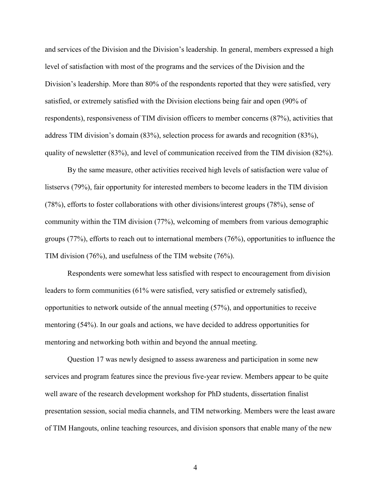and services of the Division and the Division's leadership. In general, members expressed a high level of satisfaction with most of the programs and the services of the Division and the Division's leadership. More than 80% of the respondents reported that they were satisfied, very satisfied, or extremely satisfied with the Division elections being fair and open (90% of respondents), responsiveness of TIM division officers to member concerns (87%), activities that address TIM division's domain (83%), selection process for awards and recognition (83%), quality of newsletter (83%), and level of communication received from the TIM division (82%).

By the same measure, other activities received high levels of satisfaction were value of listservs (79%), fair opportunity for interested members to become leaders in the TIM division (78%), efforts to foster collaborations with other divisions/interest groups (78%), sense of community within the TIM division (77%), welcoming of members from various demographic groups (77%), efforts to reach out to international members (76%), opportunities to influence the TIM division (76%), and usefulness of the TIM website (76%).

Respondents were somewhat less satisfied with respect to encouragement from division leaders to form communities (61% were satisfied, very satisfied or extremely satisfied), opportunities to network outside of the annual meeting (57%), and opportunities to receive mentoring (54%). In our goals and actions, we have decided to address opportunities for mentoring and networking both within and beyond the annual meeting.

Question 17 was newly designed to assess awareness and participation in some new services and program features since the previous five-year review. Members appear to be quite well aware of the research development workshop for PhD students, dissertation finalist presentation session, social media channels, and TIM networking. Members were the least aware of TIM Hangouts, online teaching resources, and division sponsors that enable many of the new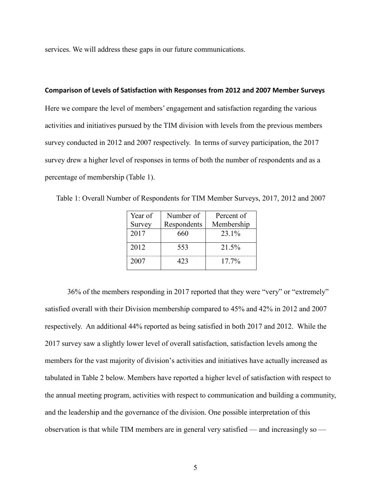services. We will address these gaps in our future communications.

#### **Comparison of Levels of Satisfaction with Responses from 2012 and 2007 Member Surveys**

Here we compare the level of members' engagement and satisfaction regarding the various activities and initiatives pursued by the TIM division with levels from the previous members survey conducted in 2012 and 2007 respectively. In terms of survey participation, the 2017 survey drew a higher level of responses in terms of both the number of respondents and as a percentage of membership (Table 1).

| Year of | Number of   | Percent of |
|---------|-------------|------------|
| Survey  | Respondents | Membership |
| 2017    | 660         | 23.1%      |
| 2012    | 553         | 21.5%      |
| 2007    | 423         | $17.7\%$   |

Table 1: Overall Number of Respondents for TIM Member Surveys, 2017, 2012 and 2007

36% of the members responding in 2017 reported that they were "very" or "extremely" satisfied overall with their Division membership compared to 45% and 42% in 2012 and 2007 respectively. An additional 44% reported as being satisfied in both 2017 and 2012. While the 2017 survey saw a slightly lower level of overall satisfaction, satisfaction levels among the members for the vast majority of division's activities and initiatives have actually increased as tabulated in Table 2 below. Members have reported a higher level of satisfaction with respect to the annual meeting program, activities with respect to communication and building a community, and the leadership and the governance of the division. One possible interpretation of this observation is that while TIM members are in general very satisfied — and increasingly so —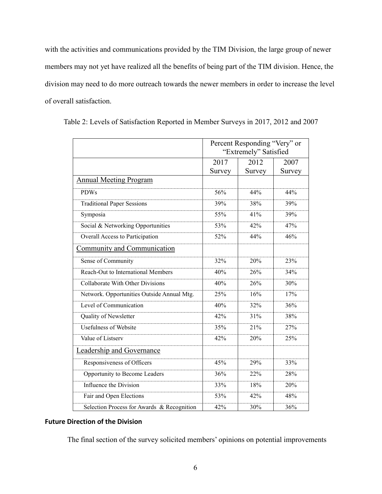with the activities and communications provided by the TIM Division, the large group of newer members may not yet have realized all the benefits of being part of the TIM division. Hence, the division may need to do more outreach towards the newer members in order to increase the level of overall satisfaction.

|                                            | Percent Responding "Very" or |        |        |
|--------------------------------------------|------------------------------|--------|--------|
|                                            | "Extremely" Satisfied        |        |        |
|                                            | 2017                         | 2012   | 2007   |
|                                            | Survey                       | Survey | Survey |
| <b>Annual Meeting Program</b>              |                              |        |        |
| <b>PDWs</b>                                | 56%                          | 44%    | 44%    |
| <b>Traditional Paper Sessions</b>          | 39%                          | 38%    | 39%    |
| Symposia                                   | 55%                          | 41%    | 39%    |
| Social & Networking Opportunities          | 53%                          | 42%    | 47%    |
| Overall Access to Participation            | 52%                          | 44%    | 46%    |
| Community and Communication                |                              |        |        |
| Sense of Community                         | 32%                          | 20%    | 23%    |
| Reach-Out to International Members         | 40%                          | 26%    | 34%    |
| Collaborate With Other Divisions           | 40%                          | 26%    | 30%    |
| Network. Opportunities Outside Annual Mtg. | 25%                          | 16%    | 17%    |
| Level of Communication                     | 40%                          | 32%    | 36%    |
| Quality of Newsletter                      | 42%                          | 31%    | 38%    |
| <b>Usefulness of Website</b>               | 35%                          | 21%    | 27%    |
| Value of Listserv                          | 42%                          | 20%    | 25%    |
| Leadership and Governance                  |                              |        |        |
| Responsiveness of Officers                 | 45%                          | 29%    | 33%    |
| Opportunity to Become Leaders              | 36%                          | 22%    | 28%    |
| Influence the Division                     | 33%                          | 18%    | 20%    |
| Fair and Open Elections                    | 53%                          | 42%    | 48%    |
| Selection Process for Awards & Recognition | 42%                          | 30%    | 36%    |

Table 2: Levels of Satisfaction Reported in Member Surveys in 2017, 2012 and 2007

#### **Future Direction of the Division**

The final section of the survey solicited members' opinions on potential improvements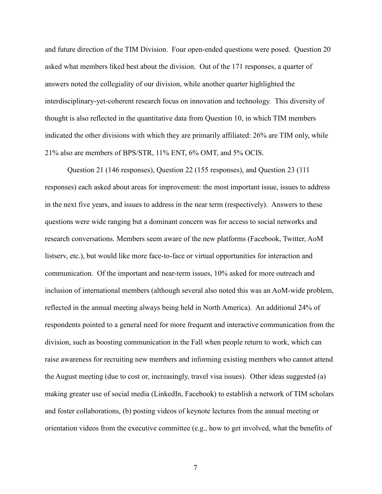and future direction of the TIM Division. Four open-ended questions were posed. Question 20 asked what members liked best about the division. Out of the 171 responses, a quarter of answers noted the collegiality of our division, while another quarter highlighted the interdisciplinary-yet-coherent research focus on innovation and technology. This diversity of thought is also reflected in the quantitative data from Question 10, in which TIM members indicated the other divisions with which they are primarily affiliated: 26% are TIM only, while 21% also are members of BPS/STR, 11% ENT, 6% OMT, and 5% OCIS.

Question 21 (146 responses), Question 22 (155 responses), and Question 23 (111 responses) each asked about areas for improvement: the most important issue, issues to address in the next five years, and issues to address in the near term (respectively). Answers to these questions were wide ranging but a dominant concern was for access to social networks and research conversations. Members seem aware of the new platforms (Facebook, Twitter, AoM listserv, etc.), but would like more face-to-face or virtual opportunities for interaction and communication. Of the important and near-term issues, 10% asked for more outreach and inclusion of international members (although several also noted this was an AoM-wide problem, reflected in the annual meeting always being held in North America). An additional 24% of respondents pointed to a general need for more frequent and interactive communication from the division, such as boosting communication in the Fall when people return to work, which can raise awareness for recruiting new members and informing existing members who cannot attend the August meeting (due to cost or, increasingly, travel visa issues). Other ideas suggested (a) making greater use of social media (LinkedIn, Facebook) to establish a network of TIM scholars and foster collaborations, (b) posting videos of keynote lectures from the annual meeting or orientation videos from the executive committee (e.g., how to get involved, what the benefits of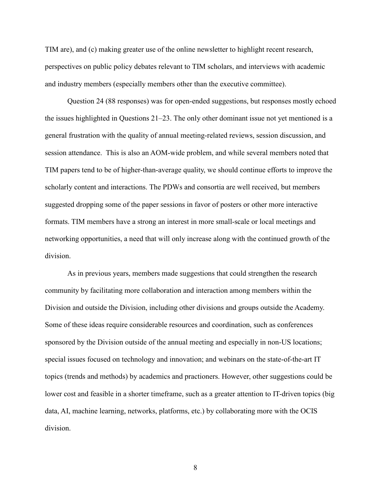TIM are), and (c) making greater use of the online newsletter to highlight recent research, perspectives on public policy debates relevant to TIM scholars, and interviews with academic and industry members (especially members other than the executive committee).

Question 24 (88 responses) was for open-ended suggestions, but responses mostly echoed the issues highlighted in Questions 21–23. The only other dominant issue not yet mentioned is a general frustration with the quality of annual meeting-related reviews, session discussion, and session attendance. This is also an AOM-wide problem, and while several members noted that TIM papers tend to be of higher-than-average quality, we should continue efforts to improve the scholarly content and interactions. The PDWs and consortia are well received, but members suggested dropping some of the paper sessions in favor of posters or other more interactive formats. TIM members have a strong an interest in more small-scale or local meetings and networking opportunities, a need that will only increase along with the continued growth of the division.

As in previous years, members made suggestions that could strengthen the research community by facilitating more collaboration and interaction among members within the Division and outside the Division, including other divisions and groups outside the Academy. Some of these ideas require considerable resources and coordination, such as conferences sponsored by the Division outside of the annual meeting and especially in non-US locations; special issues focused on technology and innovation; and webinars on the state-of-the-art IT topics (trends and methods) by academics and practioners. However, other suggestions could be lower cost and feasible in a shorter timeframe, such as a greater attention to IT-driven topics (big data, AI, machine learning, networks, platforms, etc.) by collaborating more with the OCIS division.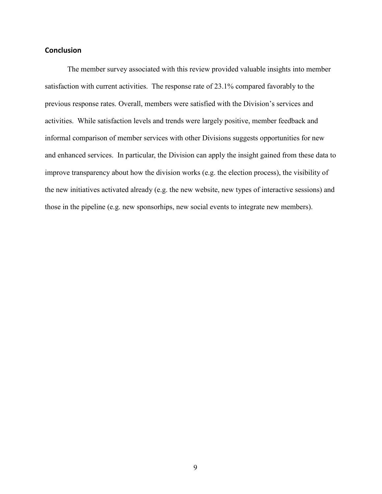## **Conclusion**

The member survey associated with this review provided valuable insights into member satisfaction with current activities. The response rate of 23.1% compared favorably to the previous response rates. Overall, members were satisfied with the Division's services and activities. While satisfaction levels and trends were largely positive, member feedback and informal comparison of member services with other Divisions suggests opportunities for new and enhanced services. In particular, the Division can apply the insight gained from these data to improve transparency about how the division works (e.g. the election process), the visibility of the new initiatives activated already (e.g. the new website, new types of interactive sessions) and those in the pipeline (e.g. new sponsorhips, new social events to integrate new members).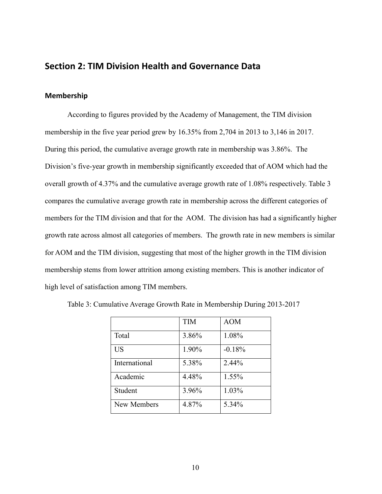# **Section 2: TIM Division Health and Governance Data**

### **Membership**

According to figures provided by the Academy of Management, the TIM division membership in the five year period grew by 16.35% from 2,704 in 2013 to 3,146 in 2017. During this period, the cumulative average growth rate in membership was 3.86%. The Division's five-year growth in membership significantly exceeded that of AOM which had the overall growth of 4.37% and the cumulative average growth rate of 1.08% respectively. Table 3 compares the cumulative average growth rate in membership across the different categories of members for the TIM division and that for the AOM. The division has had a significantly higher growth rate across almost all categories of members. The growth rate in new members is similar for AOM and the TIM division, suggesting that most of the higher growth in the TIM division membership stems from lower attrition among existing members. This is another indicator of high level of satisfaction among TIM members.

|               | <b>TIM</b> | <b>AOM</b> |
|---------------|------------|------------|
| Total         | 3.86%      | 1.08%      |
| <b>US</b>     | 1.90%      | $-0.18%$   |
| International | 5.38%      | $2.44\%$   |
| Academic      | 4.48%      | 1.55%      |
| Student       | 3.96%      | 1.03%      |
| New Members   | 4.87%      | 5.34%      |

Table 3: Cumulative Average Growth Rate in Membership During 2013-2017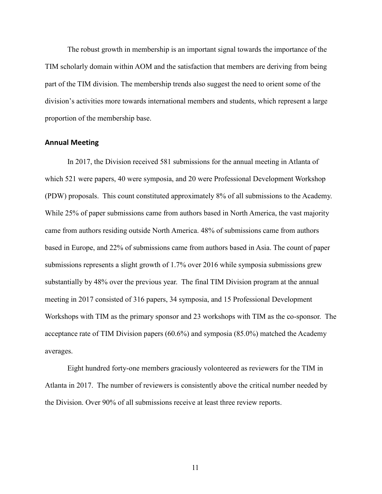The robust growth in membership is an important signal towards the importance of the TIM scholarly domain within AOM and the satisfaction that members are deriving from being part of the TIM division. The membership trends also suggest the need to orient some of the division's activities more towards international members and students, which represent a large proportion of the membership base.

### **Annual Meeting**

In 2017, the Division received 581 submissions for the annual meeting in Atlanta of which 521 were papers, 40 were symposia, and 20 were Professional Development Workshop (PDW) proposals. This count constituted approximately 8% of all submissions to the Academy. While 25% of paper submissions came from authors based in North America, the vast majority came from authors residing outside North America. 48% of submissions came from authors based in Europe, and 22% of submissions came from authors based in Asia. The count of paper submissions represents a slight growth of 1.7% over 2016 while symposia submissions grew substantially by 48% over the previous year. The final TIM Division program at the annual meeting in 2017 consisted of 316 papers, 34 symposia, and 15 Professional Development Workshops with TIM as the primary sponsor and 23 workshops with TIM as the co-sponsor. The acceptance rate of TIM Division papers (60.6%) and symposia (85.0%) matched the Academy averages.

Eight hundred forty-one members graciously volonteered as reviewers for the TIM in Atlanta in 2017. The number of reviewers is consistently above the critical number needed by the Division. Over 90% of all submissions receive at least three review reports.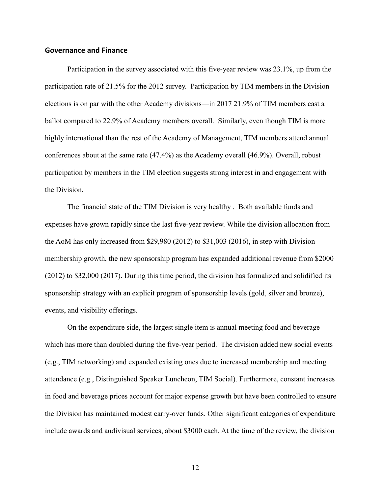### **Governance and Finance**

Participation in the survey associated with this five-year review was 23.1%, up from the participation rate of 21.5% for the 2012 survey. Participation by TIM members in the Division elections is on par with the other Academy divisions—in 2017 21.9% of TIM members cast a ballot compared to 22.9% of Academy members overall. Similarly, even though TIM is more highly international than the rest of the Academy of Management, TIM members attend annual conferences about at the same rate (47.4%) as the Academy overall (46.9%). Overall, robust participation by members in the TIM election suggests strong interest in and engagement with the Division.

The financial state of the TIM Division is very healthy . Both available funds and expenses have grown rapidly since the last five-year review. While the division allocation from the AoM has only increased from \$29,980 (2012) to \$31,003 (2016), in step with Division membership growth, the new sponsorship program has expanded additional revenue from \$2000 (2012) to \$32,000 (2017). During this time period, the division has formalized and solidified its sponsorship strategy with an explicit program of sponsorship levels (gold, silver and bronze), events, and visibility offerings.

On the expenditure side, the largest single item is annual meeting food and beverage which has more than doubled during the five-year period. The division added new social events (e.g., TIM networking) and expanded existing ones due to increased membership and meeting attendance (e.g., Distinguished Speaker Luncheon, TIM Social). Furthermore, constant increases in food and beverage prices account for major expense growth but have been controlled to ensure the Division has maintained modest carry-over funds. Other significant categories of expenditure include awards and audivisual services, about \$3000 each. At the time of the review, the division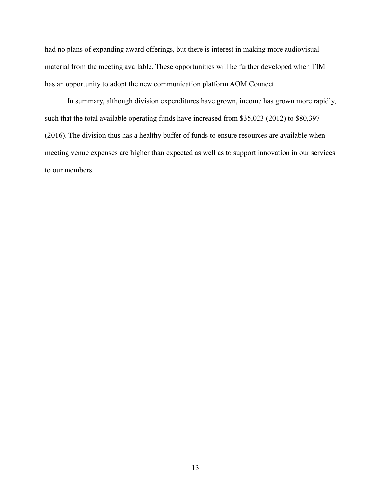had no plans of expanding award offerings, but there is interest in making more audiovisual material from the meeting available. These opportunities will be further developed when TIM has an opportunity to adopt the new communication platform AOM Connect.

In summary, although division expenditures have grown, income has grown more rapidly, such that the total available operating funds have increased from \$35,023 (2012) to \$80,397 (2016). The division thus has a healthy buffer of funds to ensure resources are available when meeting venue expenses are higher than expected as well as to support innovation in our services to our members.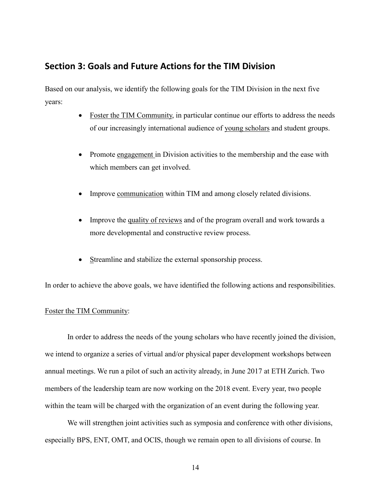# **Section 3: Goals and Future Actions for the TIM Division**

Based on our analysis, we identify the following goals for the TIM Division in the next five years:

- Foster the TIM Community, in particular continue our efforts to address the needs of our increasingly international audience of young scholars and student groups.
- Promote engagement in Division activities to the membership and the ease with which members can get involved.
- Improve communication within TIM and among closely related divisions.
- Improve the quality of reviews and of the program overall and work towards a more developmental and constructive review process.
- Streamline and stabilize the external sponsorship process.

In order to achieve the above goals, we have identified the following actions and responsibilities.

#### Foster the TIM Community:

In order to address the needs of the young scholars who have recently joined the division, we intend to organize a series of virtual and/or physical paper development workshops between annual meetings. We run a pilot of such an activity already, in June 2017 at ETH Zurich. Two members of the leadership team are now working on the 2018 event. Every year, two people within the team will be charged with the organization of an event during the following year.

We will strengthen joint activities such as symposia and conference with other divisions, especially BPS, ENT, OMT, and OCIS, though we remain open to all divisions of course. In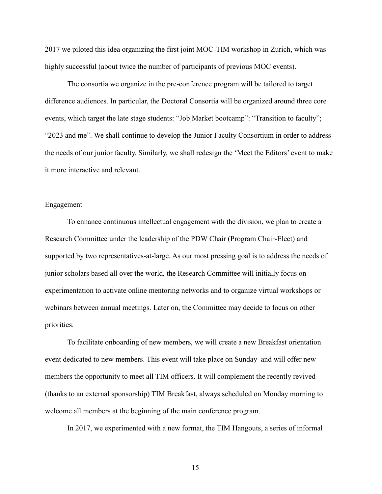2017 we piloted this idea organizing the first joint MOC-TIM workshop in Zurich, which was highly successful (about twice the number of participants of previous MOC events).

The consortia we organize in the pre-conference program will be tailored to target difference audiences. In particular, the Doctoral Consortia will be organized around three core events, which target the late stage students: "Job Market bootcamp": "Transition to faculty"; "2023 and me". We shall continue to develop the Junior Faculty Consortium in order to address the needs of our junior faculty. Similarly, we shall redesign the 'Meet the Editors' event to make it more interactive and relevant.

### Engagement

To enhance continuous intellectual engagement with the division, we plan to create a Research Committee under the leadership of the PDW Chair (Program Chair-Elect) and supported by two representatives-at-large. As our most pressing goal is to address the needs of junior scholars based all over the world, the Research Committee will initially focus on experimentation to activate online mentoring networks and to organize virtual workshops or webinars between annual meetings. Later on, the Committee may decide to focus on other priorities.

To facilitate onboarding of new members, we will create a new Breakfast orientation event dedicated to new members. This event will take place on Sunday and will offer new members the opportunity to meet all TIM officers. It will complement the recently revived (thanks to an external sponsorship) TIM Breakfast, always scheduled on Monday morning to welcome all members at the beginning of the main conference program.

In 2017, we experimented with a new format, the TIM Hangouts, a series of informal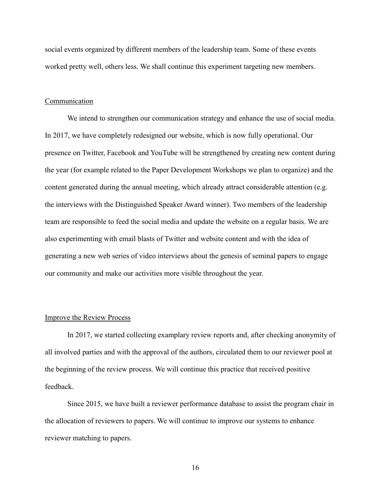social events organized by different members of the leadership team. Some of these events worked pretty well, others less. We shall continue this experiment targeting new members.

### Communication

We intend to strengthen our communication strategy and enhance the use of social media. In 2017, we have completely redesigned our website, which is now fully operational. Our presence on Twitter, Facebook and YouTube will be strengthened by creating new content during the year (for example related to the Paper Development Workshops we plan to organize) and the content generated during the annual meeting, which already attract considerable attention (e.g. the interviews with the Distinguished Speaker Award winner). Two members of the leadership team are responsible to feed the social media and update the website on a regular basis. We are also experimenting with email blasts of Twitter and website content and with the idea of generating a new web series of video interviews about the genesis of seminal papers to engage our community and make our activities more visible throughout the year.

#### Improve the Review Process

In 2017, we started collecting examplary review reports and, after checking anonymity of all involved parties and with the approval of the authors, circulated them to our reviewer pool at the beginning of the review process. We will continue this practice that received positive feedback.

Since 2015, we have built a reviewer performance database to assist the program chair in the allocation of reviewers to papers. We will continue to improve our systems to enhance reviewer matching to papers.